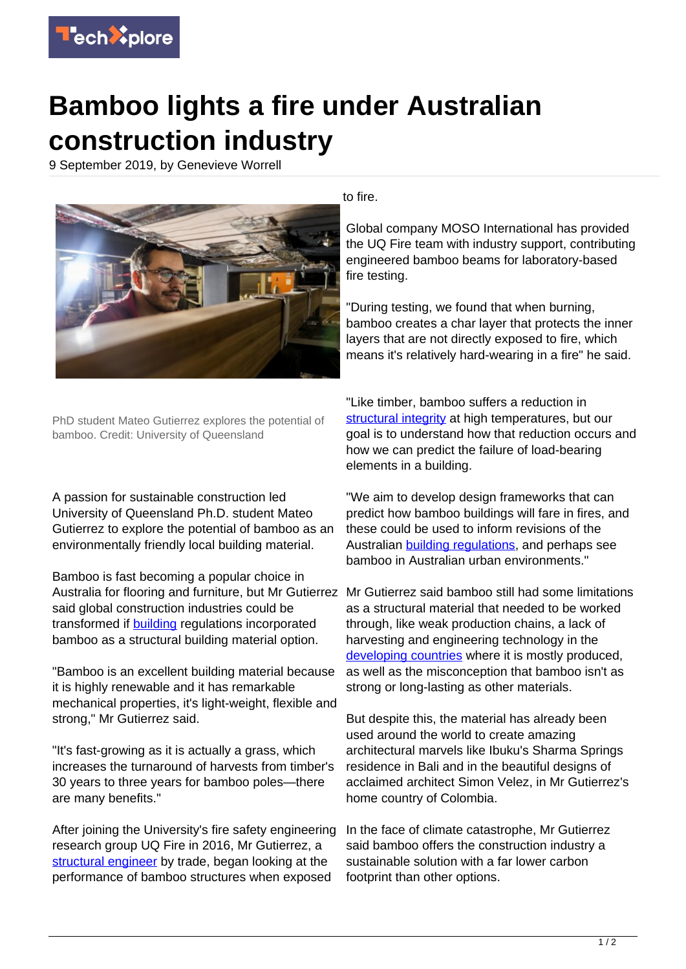

## **Bamboo lights a fire under Australian construction industry**

9 September 2019, by Genevieve Worrell



PhD student Mateo Gutierrez explores the potential of bamboo. Credit: University of Queensland

A passion for sustainable construction led University of Queensland Ph.D. student Mateo Gutierrez to explore the potential of bamboo as an environmentally friendly local building material.

Bamboo is fast becoming a popular choice in Australia for flooring and furniture, but Mr Gutierrez Mr Gutierrez said bamboo still had some limitations said global construction industries could be transformed if [building](https://techxplore.com/tags/building/) regulations incorporated bamboo as a structural building material option.

"Bamboo is an excellent building material because it is highly renewable and it has remarkable mechanical properties, it's light-weight, flexible and strong," Mr Gutierrez said.

"It's fast-growing as it is actually a grass, which increases the turnaround of harvests from timber's 30 years to three years for bamboo poles—there are many benefits."

After joining the University's fire safety engineering research group UQ Fire in 2016, Mr Gutierrez, a [structural engineer](https://techxplore.com/tags/structural+engineer/) by trade, began looking at the performance of bamboo structures when exposed

to fire.

Global company MOSO International has provided the UQ Fire team with industry support, contributing engineered bamboo beams for laboratory-based fire testing.

"During testing, we found that when burning, bamboo creates a char layer that protects the inner layers that are not directly exposed to fire, which means it's relatively hard-wearing in a fire" he said.

"Like timber, bamboo suffers a reduction in [structural integrity](https://techxplore.com/tags/structural+integrity/) at high temperatures, but our goal is to understand how that reduction occurs and how we can predict the failure of load-bearing elements in a building.

"We aim to develop design frameworks that can predict how bamboo buildings will fare in fires, and these could be used to inform revisions of the Australian [building regulations](https://techxplore.com/tags/building+regulations/), and perhaps see bamboo in Australian urban environments."

as a structural material that needed to be worked through, like weak production chains, a lack of harvesting and engineering technology in the [developing countries](https://techxplore.com/tags/developing+countries/) where it is mostly produced, as well as the misconception that bamboo isn't as strong or long-lasting as other materials.

But despite this, the material has already been used around the world to create amazing architectural marvels like Ibuku's Sharma Springs residence in Bali and in the beautiful designs of acclaimed architect Simon Velez, in Mr Gutierrez's home country of Colombia.

In the face of climate catastrophe, Mr Gutierrez said bamboo offers the construction industry a sustainable solution with a far lower carbon footprint than other options.